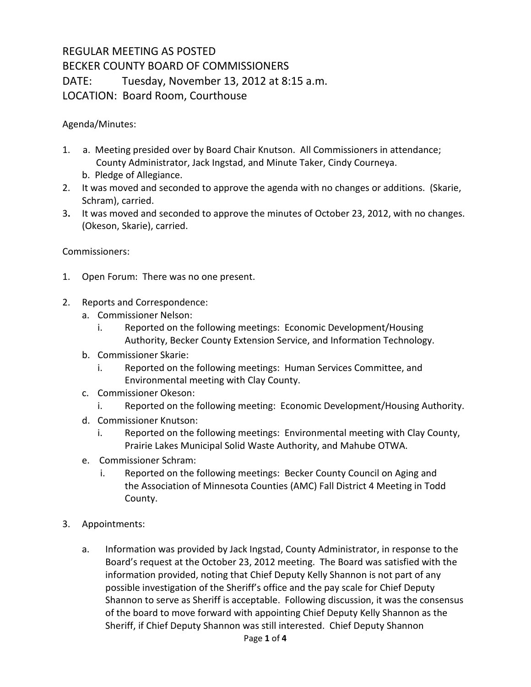## REGULAR MEETING AS POSTED BECKER COUNTY BOARD OF COMMISSIONERS DATE: Tuesday, November 13, 2012 at 8:15 a.m. LOCATION: Board Room, Courthouse

Agenda/Minutes:

- 1. a. Meeting presided over by Board Chair Knutson. All Commissioners in attendance; County Administrator, Jack Ingstad, and Minute Taker, Cindy Courneya.
	- b. Pledge of Allegiance.
- 2. It was moved and seconded to approve the agenda with no changes or additions. (Skarie, Schram), carried.
- 3**.** It was moved and seconded to approve the minutes of October 23, 2012, with no changes. (Okeson, Skarie), carried.

## Commissioners:

- 1. Open Forum: There was no one present.
- 2. Reports and Correspondence:
	- a. Commissioner Nelson:
		- i. Reported on the following meetings: Economic Development/Housing Authority, Becker County Extension Service, and Information Technology.
	- b. Commissioner Skarie:
		- i. Reported on the following meetings: Human Services Committee, and Environmental meeting with Clay County.
	- c. Commissioner Okeson:
		- i. Reported on the following meeting: Economic Development/Housing Authority.
	- d. Commissioner Knutson:
		- i. Reported on the following meetings: Environmental meeting with Clay County, Prairie Lakes Municipal Solid Waste Authority, and Mahube OTWA.
	- e. Commissioner Schram:
		- i. Reported on the following meetings: Becker County Council on Aging and the Association of Minnesota Counties (AMC) Fall District 4 Meeting in Todd County.
- 3. Appointments:
	- a. Information was provided by Jack Ingstad, County Administrator, in response to the Board's request at the October 23, 2012 meeting. The Board was satisfied with the information provided, noting that Chief Deputy Kelly Shannon is not part of any possible investigation of the Sheriff's office and the pay scale for Chief Deputy Shannon to serve as Sheriff is acceptable. Following discussion, it was the consensus of the board to move forward with appointing Chief Deputy Kelly Shannon as the Sheriff, if Chief Deputy Shannon was still interested. Chief Deputy Shannon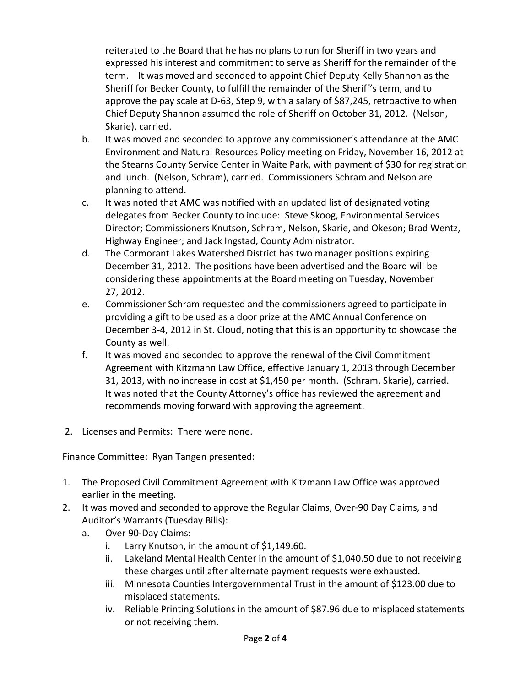reiterated to the Board that he has no plans to run for Sheriff in two years and expressed his interest and commitment to serve as Sheriff for the remainder of the term. It was moved and seconded to appoint Chief Deputy Kelly Shannon as the Sheriff for Becker County, to fulfill the remainder of the Sheriff's term, and to approve the pay scale at D-63, Step 9, with a salary of \$87,245, retroactive to when Chief Deputy Shannon assumed the role of Sheriff on October 31, 2012. (Nelson, Skarie), carried.

- b. It was moved and seconded to approve any commissioner's attendance at the AMC Environment and Natural Resources Policy meeting on Friday, November 16, 2012 at the Stearns County Service Center in Waite Park, with payment of \$30 for registration and lunch. (Nelson, Schram), carried. Commissioners Schram and Nelson are planning to attend.
- c. It was noted that AMC was notified with an updated list of designated voting delegates from Becker County to include: Steve Skoog, Environmental Services Director; Commissioners Knutson, Schram, Nelson, Skarie, and Okeson; Brad Wentz, Highway Engineer; and Jack Ingstad, County Administrator.
- d. The Cormorant Lakes Watershed District has two manager positions expiring December 31, 2012. The positions have been advertised and the Board will be considering these appointments at the Board meeting on Tuesday, November 27, 2012.
- e. Commissioner Schram requested and the commissioners agreed to participate in providing a gift to be used as a door prize at the AMC Annual Conference on December 3-4, 2012 in St. Cloud, noting that this is an opportunity to showcase the County as well.
- f. It was moved and seconded to approve the renewal of the Civil Commitment Agreement with Kitzmann Law Office, effective January 1, 2013 through December 31, 2013, with no increase in cost at \$1,450 per month. (Schram, Skarie), carried. It was noted that the County Attorney's office has reviewed the agreement and recommends moving forward with approving the agreement.
- 2. Licenses and Permits: There were none.

Finance Committee: Ryan Tangen presented:

- 1. The Proposed Civil Commitment Agreement with Kitzmann Law Office was approved earlier in the meeting.
- 2. It was moved and seconded to approve the Regular Claims, Over-90 Day Claims, and Auditor's Warrants (Tuesday Bills):
	- a. Over 90-Day Claims:
		- i. Larry Knutson, in the amount of \$1,149.60.
		- ii. Lakeland Mental Health Center in the amount of \$1,040.50 due to not receiving these charges until after alternate payment requests were exhausted.
		- iii. Minnesota Counties Intergovernmental Trust in the amount of \$123.00 due to misplaced statements.
		- iv. Reliable Printing Solutions in the amount of \$87.96 due to misplaced statements or not receiving them.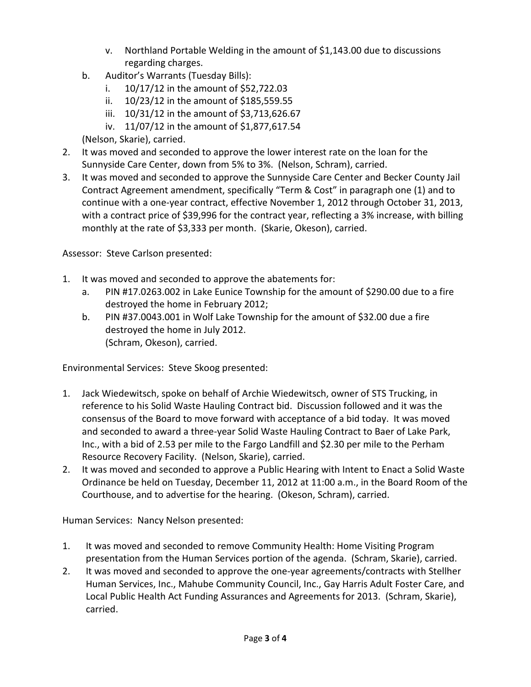- v. Northland Portable Welding in the amount of \$1,143.00 due to discussions regarding charges.
- b. Auditor's Warrants (Tuesday Bills):
	- i. 10/17/12 in the amount of \$52,722.03
	- ii. 10/23/12 in the amount of \$185,559.55
	- iii. 10/31/12 in the amount of \$3,713,626.67
	- iv. 11/07/12 in the amount of \$1,877,617.54

(Nelson, Skarie), carried.

- 2. It was moved and seconded to approve the lower interest rate on the loan for the Sunnyside Care Center, down from 5% to 3%. (Nelson, Schram), carried.
- 3. It was moved and seconded to approve the Sunnyside Care Center and Becker County Jail Contract Agreement amendment, specifically "Term & Cost" in paragraph one (1) and to continue with a one-year contract, effective November 1, 2012 through October 31, 2013, with a contract price of \$39,996 for the contract year, reflecting a 3% increase, with billing monthly at the rate of \$3,333 per month. (Skarie, Okeson), carried.

Assessor: Steve Carlson presented:

- 1. It was moved and seconded to approve the abatements for:
	- a. PIN #17.0263.002 in Lake Eunice Township for the amount of \$290.00 due to a fire destroyed the home in February 2012;
	- b. PIN #37.0043.001 in Wolf Lake Township for the amount of \$32.00 due a fire destroyed the home in July 2012. (Schram, Okeson), carried.

Environmental Services: Steve Skoog presented:

- 1. Jack Wiedewitsch, spoke on behalf of Archie Wiedewitsch, owner of STS Trucking, in reference to his Solid Waste Hauling Contract bid. Discussion followed and it was the consensus of the Board to move forward with acceptance of a bid today. It was moved and seconded to award a three-year Solid Waste Hauling Contract to Baer of Lake Park, Inc., with a bid of 2.53 per mile to the Fargo Landfill and \$2.30 per mile to the Perham Resource Recovery Facility. (Nelson, Skarie), carried.
- 2. It was moved and seconded to approve a Public Hearing with Intent to Enact a Solid Waste Ordinance be held on Tuesday, December 11, 2012 at 11:00 a.m., in the Board Room of the Courthouse, and to advertise for the hearing. (Okeson, Schram), carried.

Human Services: Nancy Nelson presented:

- 1. It was moved and seconded to remove Community Health: Home Visiting Program presentation from the Human Services portion of the agenda. (Schram, Skarie), carried.
- 2. It was moved and seconded to approve the one-year agreements/contracts with Stellher Human Services, Inc., Mahube Community Council, Inc., Gay Harris Adult Foster Care, and Local Public Health Act Funding Assurances and Agreements for 2013. (Schram, Skarie), carried.